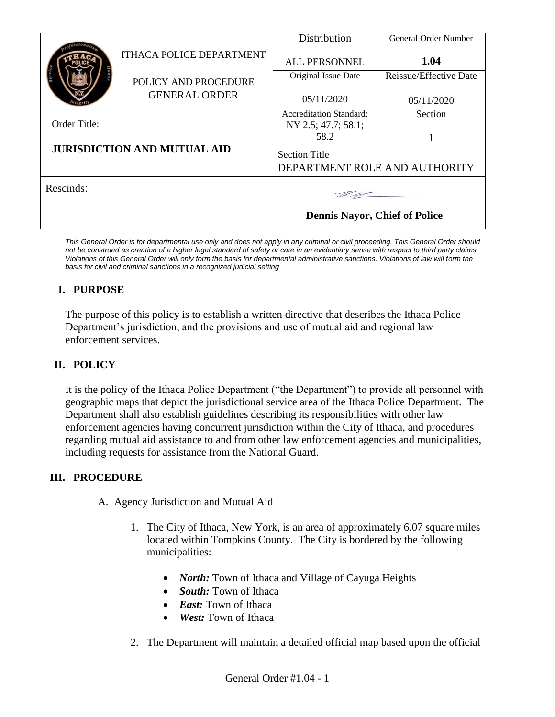|                                                    |                                              | Distribution                                          | General Order Number   |
|----------------------------------------------------|----------------------------------------------|-------------------------------------------------------|------------------------|
|                                                    | <b>ITHACA POLICE DEPARTMENT</b>              | <b>ALL PERSONNEL</b>                                  | 1.04                   |
|                                                    | POLICY AND PROCEDURE<br><b>GENERAL ORDER</b> | Original Issue Date                                   | Reissue/Effective Date |
|                                                    |                                              | 05/11/2020                                            | 05/11/2020             |
| Order Title:<br><b>JURISDICTION AND MUTUAL AID</b> |                                              | <b>Accreditation Standard:</b><br>NY 2.5; 47.7; 58.1; | Section                |
|                                                    |                                              | 58.2                                                  |                        |
|                                                    |                                              | <b>Section Title</b><br>DEPARTMENT ROLE AND AUTHORITY |                        |
| Rescinds:                                          |                                              |                                                       |                        |
|                                                    |                                              | <b>Dennis Nayor, Chief of Police</b>                  |                        |

*This General Order is for departmental use only and does not apply in any criminal or civil proceeding. This General Order should not be construed as creation of a higher legal standard of safety or care in an evidentiary sense with respect to third party claims. Violations of this General Order will only form the basis for departmental administrative sanctions. Violations of law will form the basis for civil and criminal sanctions in a recognized judicial setting*

# **I. PURPOSE**

The purpose of this policy is to establish a written directive that describes the Ithaca Police Department's jurisdiction, and the provisions and use of mutual aid and regional law enforcement services.

# **II. POLICY**

It is the policy of the Ithaca Police Department ("the Department") to provide all personnel with geographic maps that depict the jurisdictional service area of the Ithaca Police Department. The Department shall also establish guidelines describing its responsibilities with other law enforcement agencies having concurrent jurisdiction within the City of Ithaca, and procedures regarding mutual aid assistance to and from other law enforcement agencies and municipalities, including requests for assistance from the National Guard.

## **III. PROCEDURE**

- A. Agency Jurisdiction and Mutual Aid
	- 1. The City of Ithaca, New York, is an area of approximately 6.07 square miles located within Tompkins County. The City is bordered by the following municipalities:
		- *North:* Town of Ithaca and Village of Cayuga Heights
		- *South:* Town of Ithaca
		- *East:* Town of Ithaca
		- *West:* Town of Ithaca
	- 2. The Department will maintain a detailed official map based upon the official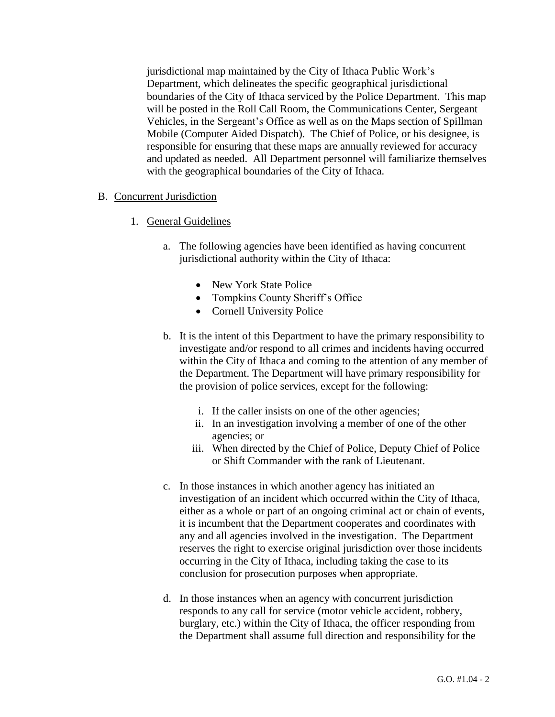jurisdictional map maintained by the City of Ithaca Public Work's Department, which delineates the specific geographical jurisdictional boundaries of the City of Ithaca serviced by the Police Department. This map will be posted in the Roll Call Room, the Communications Center, Sergeant Vehicles, in the Sergeant's Office as well as on the Maps section of Spillman Mobile (Computer Aided Dispatch). The Chief of Police, or his designee, is responsible for ensuring that these maps are annually reviewed for accuracy and updated as needed. All Department personnel will familiarize themselves with the geographical boundaries of the City of Ithaca.

### B. Concurrent Jurisdiction

- 1. General Guidelines
	- a. The following agencies have been identified as having concurrent jurisdictional authority within the City of Ithaca:
		- New York State Police
		- Tompkins County Sheriff's Office
		- Cornell University Police
	- b. It is the intent of this Department to have the primary responsibility to investigate and/or respond to all crimes and incidents having occurred within the City of Ithaca and coming to the attention of any member of the Department. The Department will have primary responsibility for the provision of police services, except for the following:
		- i. If the caller insists on one of the other agencies;
		- ii. In an investigation involving a member of one of the other agencies; or
		- iii. When directed by the Chief of Police, Deputy Chief of Police or Shift Commander with the rank of Lieutenant.
	- c. In those instances in which another agency has initiated an investigation of an incident which occurred within the City of Ithaca, either as a whole or part of an ongoing criminal act or chain of events, it is incumbent that the Department cooperates and coordinates with any and all agencies involved in the investigation. The Department reserves the right to exercise original jurisdiction over those incidents occurring in the City of Ithaca, including taking the case to its conclusion for prosecution purposes when appropriate.
	- d. In those instances when an agency with concurrent jurisdiction responds to any call for service (motor vehicle accident, robbery, burglary, etc.) within the City of Ithaca, the officer responding from the Department shall assume full direction and responsibility for the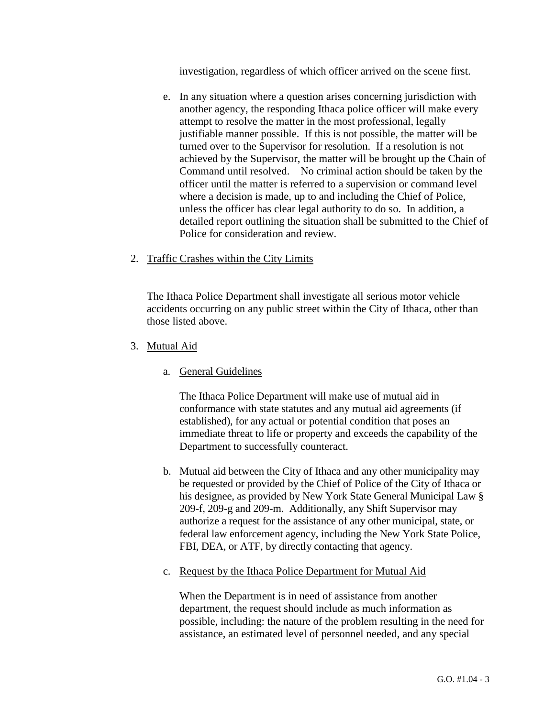investigation, regardless of which officer arrived on the scene first.

e. In any situation where a question arises concerning jurisdiction with another agency, the responding Ithaca police officer will make every attempt to resolve the matter in the most professional, legally justifiable manner possible. If this is not possible, the matter will be turned over to the Supervisor for resolution. If a resolution is not achieved by the Supervisor, the matter will be brought up the Chain of Command until resolved. No criminal action should be taken by the officer until the matter is referred to a supervision or command level where a decision is made, up to and including the Chief of Police, unless the officer has clear legal authority to do so. In addition, a detailed report outlining the situation shall be submitted to the Chief of Police for consideration and review.

### 2. Traffic Crashes within the City Limits

The Ithaca Police Department shall investigate all serious motor vehicle accidents occurring on any public street within the City of Ithaca, other than those listed above.

- 3. Mutual Aid
	- a. General Guidelines

The Ithaca Police Department will make use of mutual aid in conformance with state statutes and any mutual aid agreements (if established), for any actual or potential condition that poses an immediate threat to life or property and exceeds the capability of the Department to successfully counteract.

- b. Mutual aid between the City of Ithaca and any other municipality may be requested or provided by the Chief of Police of the City of Ithaca or his designee, as provided by New York State General Municipal Law § 209-f, 209-g and 209-m. Additionally, any Shift Supervisor may authorize a request for the assistance of any other municipal, state, or federal law enforcement agency, including the New York State Police, FBI, DEA, or ATF, by directly contacting that agency.
- c. Request by the Ithaca Police Department for Mutual Aid

When the Department is in need of assistance from another department, the request should include as much information as possible, including: the nature of the problem resulting in the need for assistance, an estimated level of personnel needed, and any special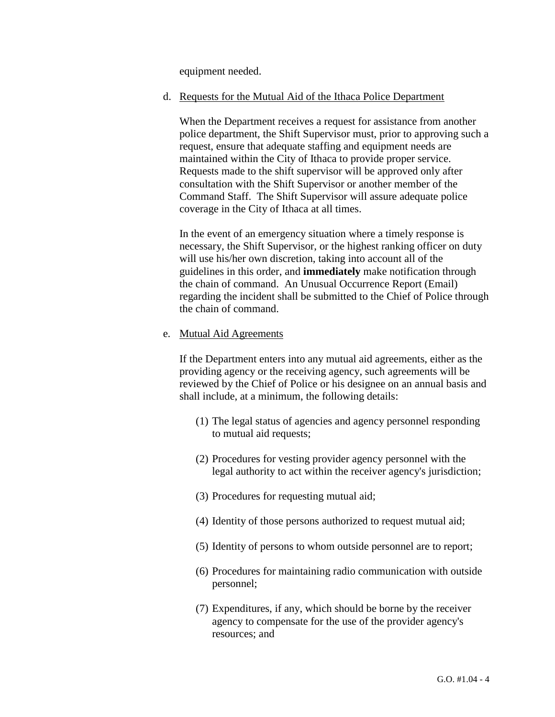equipment needed.

#### d. Requests for the Mutual Aid of the Ithaca Police Department

When the Department receives a request for assistance from another police department, the Shift Supervisor must, prior to approving such a request, ensure that adequate staffing and equipment needs are maintained within the City of Ithaca to provide proper service. Requests made to the shift supervisor will be approved only after consultation with the Shift Supervisor or another member of the Command Staff. The Shift Supervisor will assure adequate police coverage in the City of Ithaca at all times.

In the event of an emergency situation where a timely response is necessary, the Shift Supervisor, or the highest ranking officer on duty will use his/her own discretion, taking into account all of the guidelines in this order, and **immediately** make notification through the chain of command. An Unusual Occurrence Report (Email) regarding the incident shall be submitted to the Chief of Police through the chain of command.

#### e. Mutual Aid Agreements

If the Department enters into any mutual aid agreements, either as the providing agency or the receiving agency, such agreements will be reviewed by the Chief of Police or his designee on an annual basis and shall include, at a minimum, the following details:

- (1) The legal status of agencies and agency personnel responding to mutual aid requests;
- (2) Procedures for vesting provider agency personnel with the legal authority to act within the receiver agency's jurisdiction;
- (3) Procedures for requesting mutual aid;
- (4) Identity of those persons authorized to request mutual aid;
- (5) Identity of persons to whom outside personnel are to report;
- (6) Procedures for maintaining radio communication with outside personnel;
- (7) Expenditures, if any, which should be borne by the receiver agency to compensate for the use of the provider agency's resources; and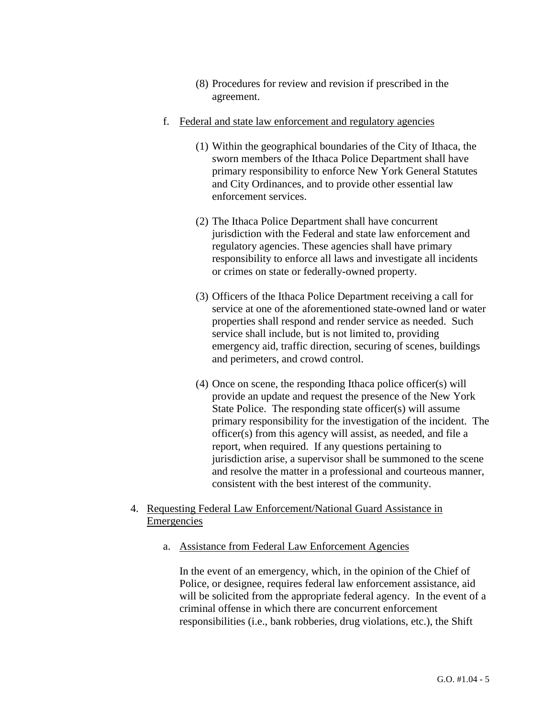- (8) Procedures for review and revision if prescribed in the agreement.
- f. Federal and state law enforcement and regulatory agencies
	- (1) Within the geographical boundaries of the City of Ithaca, the sworn members of the Ithaca Police Department shall have primary responsibility to enforce New York General Statutes and City Ordinances, and to provide other essential law enforcement services.
	- (2) The Ithaca Police Department shall have concurrent jurisdiction with the Federal and state law enforcement and regulatory agencies. These agencies shall have primary responsibility to enforce all laws and investigate all incidents or crimes on state or federally-owned property.
	- (3) Officers of the Ithaca Police Department receiving a call for service at one of the aforementioned state-owned land or water properties shall respond and render service as needed. Such service shall include, but is not limited to, providing emergency aid, traffic direction, securing of scenes, buildings and perimeters, and crowd control.
	- (4) Once on scene, the responding Ithaca police officer(s) will provide an update and request the presence of the New York State Police. The responding state officer(s) will assume primary responsibility for the investigation of the incident. The officer(s) from this agency will assist, as needed, and file a report, when required. If any questions pertaining to jurisdiction arise, a supervisor shall be summoned to the scene and resolve the matter in a professional and courteous manner, consistent with the best interest of the community.
- 4. Requesting Federal Law Enforcement/National Guard Assistance in Emergencies
	- a. Assistance from Federal Law Enforcement Agencies

In the event of an emergency, which, in the opinion of the Chief of Police, or designee, requires federal law enforcement assistance, aid will be solicited from the appropriate federal agency. In the event of a criminal offense in which there are concurrent enforcement responsibilities (i.e., bank robberies, drug violations, etc.), the Shift